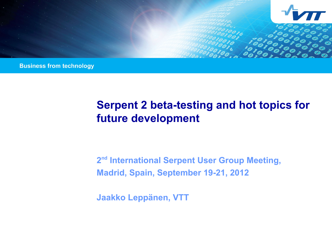

**Business from technology** 

# **Serpent 2 beta-testing and hot topics for future development**

**2 nd International Serpent User Group Meeting, Madrid, Spain, September 19-21, 2012**

**Jaakko Leppänen, VTT**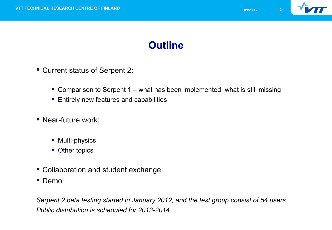

### **Outline**

- Current status of Serpent 2:
	- Comparison to Serpent 1 what has been implemented, what is still missing
	- **Entirely new features and capabilities**
- **Near-future work:** 
	- **Multi-physics**
	- Other topics
- **Collaboration and student exchange**
- **Demo**

*Serpent 2 beta testing started in January 2012, and the test group consist of 54 users Public distribution is scheduled for 2013-2014*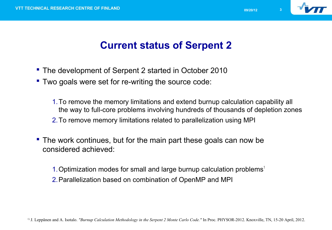

- The development of Serpent 2 started in October 2010
- Two goals were set for re-writing the source code:
	- 1.To remove the memory limitations and extend burnup calculation capability all the way to full-core problems involving hundreds of thousands of depletion zones 2.To remove memory limitations related to parallelization using MPI
- The work continues, but for the main part these goals can now be considered achieved:
	- 1. Optimization modes for small and large burnup calculation problems $<sup>1</sup>$ </sup>
	- 2.Parallelization based on combination of OpenMP and MPI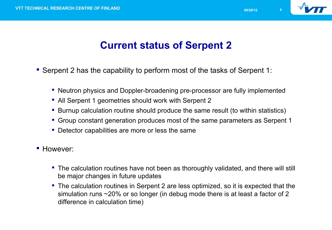

- Serpent 2 has the capability to perform most of the tasks of Serpent 1:
	- Neutron physics and Doppler-broadening pre-processor are fully implemented
	- All Serpent 1 geometries should work with Serpent 2
	- Burnup calculation routine should produce the same result (to within statistics)
	- Group constant generation produces most of the same parameters as Serpent 1
	- **Detector capabilities are more or less the same**
- **However:** 
	- **The calculation routines have not been as thoroughly validated, and there will still** be major changes in future updates
	- The calculation routines in Serpent 2 are less optimized, so it is expected that the simulation runs ~20% or so longer (in debug mode there is at least a factor of 2 difference in calculation time)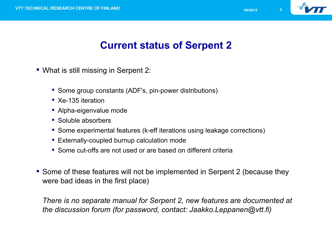

### **Current status of Serpent 2**

- What is still missing in Serpent 2:
	- Some group constants (ADF's, pin-power distributions)
	- Xe-135 iteration
	- **Alpha-eigenvalue mode**
	- Soluble absorbers
	- Some experimental features (k-eff iterations using leakage corrections)
	- **Externally-coupled burnup calculation mode**
	- **Some cut-offs are not used or are based on different criteria**
- Some of these features will not be implemented in Serpent 2 (because they were bad ideas in the first place)

*There is no separate manual for Serpent 2, new features are documented at the discussion forum (for password, contact: Jaakko.Leppanen@vtt.fi)*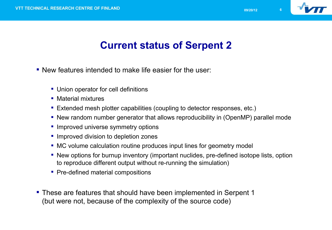

- New features intended to make life easier for the user:
	- Union operator for cell definitions
	- **Material mixtures**
	- Extended mesh plotter capabilities (coupling to detector responses, etc.)
	- New random number generator that allows reproducibility in (OpenMP) parallel mode
	- **Improved universe symmetry options**
	- **Improved division to depletion zones**
	- MC volume calculation routine produces input lines for geometry model
	- New options for burnup inventory (important nuclides, pre-defined isotope lists, option to reproduce different output without re-running the simulation)
	- Pre-defined material compositions
- These are features that should have been implemented in Serpent 1 (but were not, because of the complexity of the source code)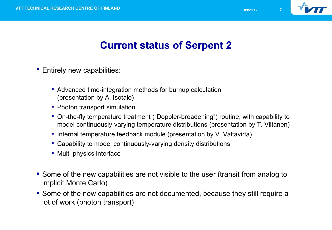

- **Entirely new capabilities:** 
	- **Advanced time-integration methods for burnup calculation** (presentation by A. Isotalo)
	- Photon transport simulation
	- On-the-fly temperature treatment ("Doppler-broadening") routine, with capability to model continuously-varying temperature distributions (presentation by T. Viitanen)
	- Internal temperature feedback module (presentation by V. Valtavirta)
	- Capability to model continuously-varying density distributions
	- **Multi-physics interface**
- Some of the new capabilities are not visible to the user (transit from analog to implicit Monte Carlo)
- Some of the new capabilities are not documented, because they still require a lot of work (photon transport)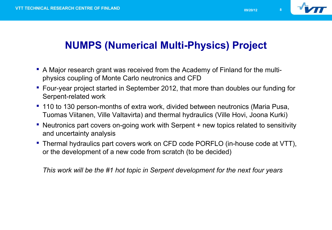

# **NUMPS (Numerical Multi-Physics) Project**

- A Major research grant was received from the Academy of Finland for the multiphysics coupling of Monte Carlo neutronics and CFD
- Four-year project started in September 2012, that more than doubles our funding for Serpent-related work
- 110 to 130 person-months of extra work, divided between neutronics (Maria Pusa, Tuomas Viitanen, Ville Valtavirta) and thermal hydraulics (Ville Hovi, Joona Kurki)
- Neutronics part covers on-going work with Serpent + new topics related to sensitivity and uncertainty analysis
- Thermal hydraulics part covers work on CFD code PORFLO (in-house code at VTT), or the development of a new code from scratch (to be decided)

*This work will be the #1 hot topic in Serpent development for the next four years*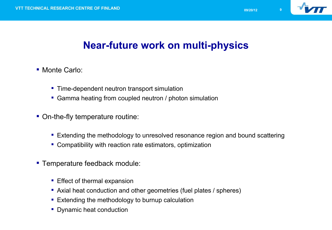

### **Near-future work on multi-physics**

- Monte Carlo:
	- **Time-dependent neutron transport simulation**
	- Gamma heating from coupled neutron / photon simulation
- On-the-fly temperature routine:
	- **Extending the methodology to unresolved resonance region and bound scattering**
	- Compatibility with reaction rate estimators, optimization
- **Temperature feedback module:** 
	- **Effect of thermal expansion**
	- Axial heat conduction and other geometries (fuel plates / spheres)
	- **Extending the methodology to burnup calculation**
	- Dynamic heat conduction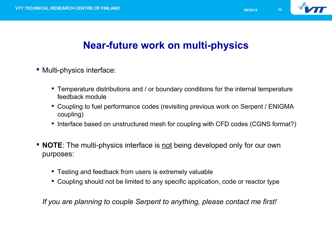

### **Near-future work on multi-physics**

- **Multi-physics interface:** 
	- **Temperature distributions and / or boundary conditions for the internal temperature** feedback module
	- Coupling to fuel performance codes (revisiting previous work on Serpent / ENIGMA coupling)
	- Interface based on unstructured mesh for coupling with CFD codes (CGNS format?)
- **NOTE**: The multi-physics interface is <u>not</u> being developed only for our own purposes:
	- **Testing and feedback from users is extremely valuable**
	- Coupling should not be limited to any specific application, code or reactor type

*If you are planning to couple Serpent to anything, please contact me first!*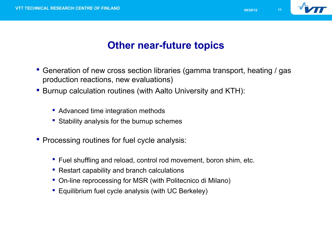

### **Other near-future topics**

- Generation of new cross section libraries (gamma transport, heating / gas production reactions, new evaluations)
- Burnup calculation routines (with Aalto University and KTH):
	- Advanced time integration methods
	- **Stability analysis for the burnup schemes**
- **Processing routines for fuel cycle analysis:** 
	- Fuel shuffling and reload, control rod movement, boron shim, etc.
	- Restart capability and branch calculations
	- On-line reprocessing for MSR (with Politecnico di Milano)
	- **Equilibrium fuel cycle analysis (with UC Berkeley)**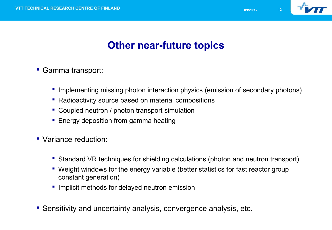

# **Other near-future topics**

- Gamma transport:
	- **Implementing missing photon interaction physics (emission of secondary photons)**
	- Radioactivity source based on material compositions
	- Coupled neutron / photon transport simulation
	- **Energy deposition from gamma heating**
- Variance reduction:
	- Standard VR techniques for shielding calculations (photon and neutron transport)
	- Weight windows for the energy variable (better statistics for fast reactor group constant generation)
	- **If** Implicit methods for delayed neutron emission
- Sensitivity and uncertainty analysis, convergence analysis, etc.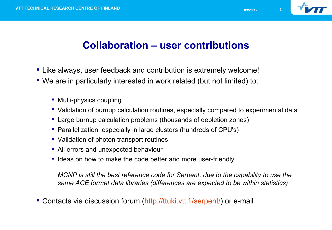

### **Collaboration – user contributions**

- Like always, user feedback and contribution is extremely welcome!
- We are in particularly interested in work related (but not limited) to:
	- Multi-physics coupling
	- Validation of burnup calculation routines, especially compared to experimental data
	- Large burnup calculation problems (thousands of depletion zones)
	- Parallelization, especially in large clusters (hundreds of CPU's)
	- Validation of photon transport routines
	- All errors and unexpected behaviour
	- " Ideas on how to make the code better and more user-friendly

*MCNP is still the best reference code for Serpent, due to the capability to use the same ACE format data libraries (differences are expected to be within statistics)*

Contacts via discussion forum ([http://ttuki.vtt.fi/serpent/\)](http://ttuki.vtt.fi/serpent/) or e-mail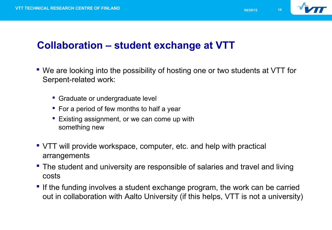

#### **Collaboration – student exchange at VTT**

- We are looking into the possibility of hosting one or two students at VTT for Serpent-related work:
	- **Graduate or undergraduate level**
	- For a period of few months to half a year
	- **Existing assignment, or we can come up with** something new
- VTT will provide workspace, computer, etc. and help with practical arrangements
- The student and university are responsible of salaries and travel and living costs
- If the funding involves a student exchange program, the work can be carried out in collaboration with Aalto University (if this helps, VTT is not a university)